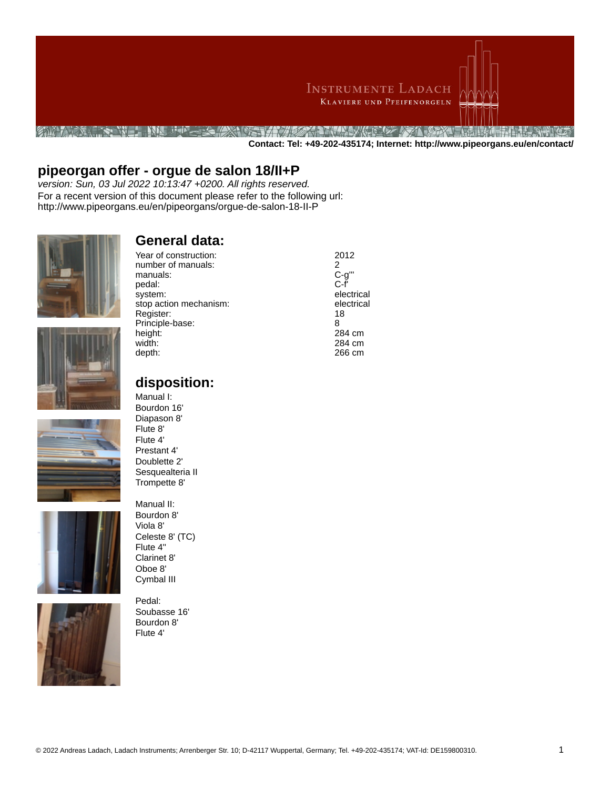

**Contact: Tel: +49-202-435174; Internet: http://www.pipeorgans.eu/en/contact/**

## **pipeorgan offer - orgue de salon 18/II+P**

*version: Sun, 03 Jul 2022 10:13:47 +0200. All rights reserved.* For a recent version of this document please refer to the following url: http://www.pipeorgans.eu/en/pipeorgans/orgue-de-salon-18-II-P











## **General data:**

| Year of construction:  | 2012       |
|------------------------|------------|
| number of manuals:     | 2          |
| manuals:               | $C-g'''$   |
| pedal:                 | $C-f'$     |
| system:                | electrical |
| stop action mechanism: | electrical |
| Register:              | 18         |
| Principle-base:        | 8          |
| height:                | 284 cm     |
| width:                 | 284 cm     |
| depth:                 | 266 cm     |

## **disposition:**

Manual I:Bourdon 16' Diapason 8'Flute 8' Flute 4'Prestant 4'Doublette 2' Sesquealteria II Trompette 8'

Manual II: Bourdon 8' Viola 8' Celeste 8' (TC) Flute 4'' Clarinet 8'Oboe 8'Cymbal III

Pedal: Soubasse 16' Bourdon 8' Flute 4'